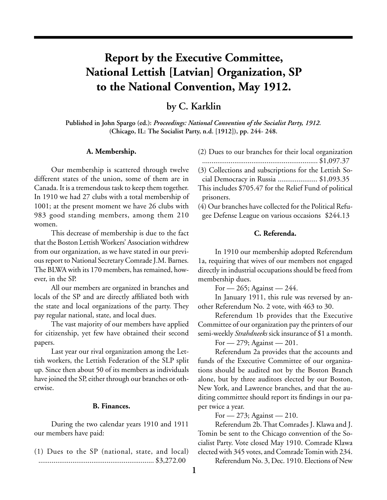# **Report by the Executive Committee, National Lettish [Latvian] Organization, SP to the National Convention, May 1912.**

**by C. Karklin**

**Published in John Spargo (ed.):** *Proceedings: National Convention of the Socialist Party, 1912.* **(Chicago, IL: The Socialist Party, n.d. [1912]), pp. 244- 248.**

#### **A. Membership.**

Our membership is scattered through twelve different states of the union, some of them are in Canada. It is a tremendous task to keep them together. In 1910 we had 27 clubs with a total membership of 1001; at the present moment we have 26 clubs with 983 good standing members, among them 210 women.

This decrease of membership is due to the fact that the Boston Lettish Workers' Association withdrew from our organization, as we have stated in our previous report to National Secretary Comrade J.M. Barnes. The BLWA with its 170 members, has remained, however, in the SP.

All our members are organized in branches and locals of the SP and are directly affiliated both with the state and local organizations of the party. They pay regular national, state, and local dues.

The vast majority of our members have applied for citizenship, yet few have obtained their second papers.

Last year our rival organization among the Lettish workers, the Lettish Federation of the SLP split up. Since then about 50 of its members as individuals have joined the SP, either through our branches or otherwise.

## **B. Finances.**

During the two calendar years 1910 and 1911 our members have paid:

(1) Dues to the SP (national, state, and local) ............................................................. \$3,272.00

| (2) Dues to our branches for their local organization |  |  |  |  |  |
|-------------------------------------------------------|--|--|--|--|--|
|                                                       |  |  |  |  |  |

............................................................. \$1,097.37 (3) Collections and subscriptions for the Lettish So-

cial Democracy in Russia ..................... \$1,093.35

This includes \$705.47 for the Relief Fund of political prisoners.

(4) Our branches have collected for the Political Refugee Defense League on various occasions \$244.13

# **C. Referenda.**

In 1910 our membership adopted Referendum 1a, requiring that wives of our members not engaged directly in industrial occupations should be freed from membership dues.

For  $-265$ ; Against  $-244$ .

In January 1911, this rule was reversed by another Referendum No. 2 vote, with 463 to 30.

Referendum 1b provides that the Executive Committee of our organization pay the printers of our semi-weekly *Strahdneeks* sick insurance of \$1 a month.

For  $-279$ ; Against  $-201$ .

Referendum 2a provides that the accounts and funds of the Executive Committee of our organizations should be audited not by the Boston Branch alone, but by three auditors elected by our Boston, New York, and Lawrence branches, and that the auditing committee should report its findings in our paper twice a year.

For — 273; Against — 210.

Referendum 2b. That Comrades J. Klawa and J. Tomin be sent to the Chicago convention of the Socialist Party. Vote closed May 1910. Comrade Klawa elected with 345 votes, and Comrade Tomin with 234.

Referendum No. 3, Dec. 1910. Elections of New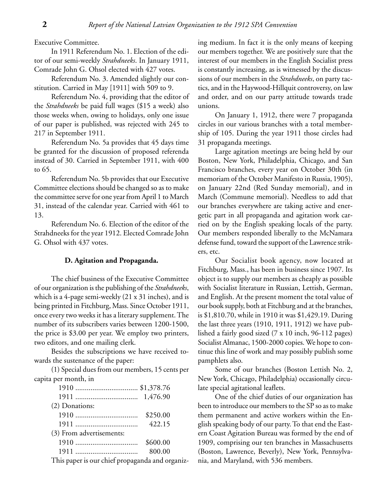Executive Committee.

In 1911 Referendum No. 1. Election of the editor of our semi-weekly *Strahdneeks*. In January 1911, Comrade John G. Ohsol elected with 427 votes.

Referendum No. 3. Amended slightly our constitution. Carried in May [1911] with 509 to 9.

Referendum No. 4, providing that the editor of the *Strahdneeks* be paid full wages (\$15 a week) also those weeks when, owing to holidays, only one issue of our paper is published, was rejected with 245 to 217 in September 1911.

Referendum No. 5a provides that 45 days time be granted for the discussion of proposed referenda instead of 30. Carried in September 1911, with 400 to 65.

Referendum No. 5b provides that our Executive Committee elections should be changed so as to make the committee serve for one year from April 1 to March 31, instead of the calendar year. Carried with 461 to 13.

Referendum No. 6. Election of the editor of the Strahdneeks for the year 1912. Elected Comrade John G. Ohsol with 437 votes.

## **D. Agitation and Propaganda.**

The chief business of the Executive Committee of our organization is the publishing of the *Strahdneeks*, which is a 4-page semi-weekly (21 x 31 inches), and is being printed in Fitchburg, Mass. Since October 1911, once every two weeks it has a literary supplement. The number of its subscribers varies between 1200-1500, the price is \$3.00 per year. We employ two printers, two editors, and one mailing clerk.

Besides the subscriptions we have received towards the sustenance of the paper:

(1) Special dues from our members, 15 cents per capita per month, in

| (2) Donations:           |          |  |  |  |  |  |  |
|--------------------------|----------|--|--|--|--|--|--|
|                          | \$250.00 |  |  |  |  |  |  |
|                          | 422.15   |  |  |  |  |  |  |
| (3) From advertisements: |          |  |  |  |  |  |  |
|                          | \$600.00 |  |  |  |  |  |  |
|                          | 800.00   |  |  |  |  |  |  |

This paper is our chief propaganda and organiz-

ing medium. In fact it is the only means of keeping our members together. We are positively sure that the interest of our members in the English Socialist press is constantly increasing, as is witnessed by the discussions of our members in the *Strahdneeks*, on party tactics, and in the Haywood-Hillquit controversy, on law and order, and on our party attitude towards trade unions.

On January 1, 1912, there were 7 propaganda circles in our various branches with a total membership of 105. During the year 1911 those circles had 31 propaganda meetings.

Large agitation meetings are being held by our Boston, New York, Philadelphia, Chicago, and San Francisco branches, every year on October 30th (in memoriam of the October Manifesto in Russia, 1905), on January 22nd (Red Sunday memorial), and in March (Commune memorial). Needless to add that our branches everywhere are taking active and energetic part in all propaganda and agitation work carried on by the English speaking locals of the party. Our members responded liberally to the McNamara defense fund, toward the support of the Lawrence strikers, etc.

Our Socialist book agency, now located at Fitchburg, Mass., has been in business since 1907. Its object is to supply our members as cheaply as possible with Socialist literature in Russian, Lettish, German, and English. At the present moment the total value of our book supply, both at Fitchburg and at the branches, is \$1,810.70, while in 1910 it was \$1,429.19. During the last three years (1910, 1911, 1912) we have published a fairly good sized (7 x 10 inch, 96-112 pages) Socialist Almanac, 1500-2000 copies. We hope to continue this line of work and may possibly publish some pamphlets also.

Some of our branches (Boston Lettish No. 2, New York, Chicago, Philadelphia) occasionally circulate special agitational leaflets.

One of the chief duties of our organization has been to introduce our members to the SP so as to make them permanent and active workers within the English speaking body of our party. To that end the Eastern Coast Agitation Bureau was formed by the end of 1909, comprising our ten branches in Massachusetts (Boston, Lawrence, Beverly), New York, Pennsylvania, and Maryland, with 536 members.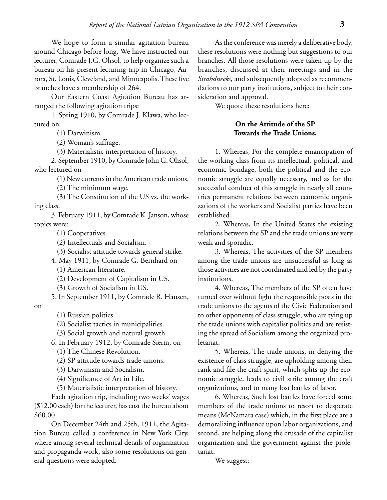We hope to form a similar agitation bureau around Chicago before long. We have instructed our lecturer, Comrade J.G. Ohsol, to help organize such a bureau on his present lecturing trip in Chicago, Aurora, St. Louis, Cleveland, and Minneapolis. These five branches have a membership of 264.

Our Eastern Coast Agitation Bureau has arranged the following agitation trips:

1. Spring 1910, by Comrade J. Klawa, who lectured on

(1) Darwinism.

(2) Woman's suffrage.

(3) Materialistic interpretation of history.

2. September 1910, by Comrade John G. Ohsol, who lectured on

(1) New currents in the American trade unions.

(2) The minimum wage.

(3) The Constitution of the US vs. the working class.

3. February 1911, by Comrade K. Janson, whose topics were:

(1) Cooperatives.

(2) Intellectuals and Socialism.

(3) Socialist attitude towards general strike.

4. May 1911, by Comrade G. Bernhard on

(1) American literature.

(2) Development of Capitalism in US.

(3) Growth of Socialism in US.

5. In September 1911, by Comrade R. Hansen,

on

- (1) Russian politics.
- (2) Socialist tactics in municipalities.
- (3) Social growth and natural growth.

6. In February 1912, by Comrade Sierin, on

(1) The Chinese Revolution.

(2) SP attitude towards trade unions.

(3) Darwinism and Socialism.

(4) Significance of Art in Life.

(5) Materialistic interpretation of history.

Each agitation trip, including two weeks' wages (\$12.00 each) for the lecturer, has cost the bureau about \$60.00.

On December 24th and 25th, 1911, the Agitation Bureau called a conference in New York City, where among several technical details of organization and propaganda work, also some resolutions on general questions were adopted.

As the conference was merely a deliberative body, these resolutions were nothing but suggestions to our branches. All those resolutions were taken up by the branches, discussed at their meetings and in the *Strahdneeks*, and subsequently adopted as recommendations to our party institutions, subject to their consideration and approval.

We quote these resolutions here:

## **On the Attitude of the SP Towards the Trade Unions.**

1. Whereas, For the complete emancipation of the working class from its intellectual, political, and economic bondage, both the political and the economic struggle are equally necessary, and as for the successful conduct of this struggle in nearly all countries permanent relations between economic organizations of the workers and Socialist parties have been established.

2. Whereas, In the United States the existing relations between the SP and the trade unions are very weak and sporadic.

3. Whereas, The activities of the SP members among the trade unions are unsuccessful as long as those activities are not coordinated and led by the party institutions.

4. Whereas, The members of the SP often have turned over without fight the responsible posts in the trade unions to the agents of the Civic Federation and to other opponents of class struggle, who are tying up the trade unions with capitalist politics and are resisting the spread of Socialism among the organized proletariat.

5. Whereas, The trade unions, in denying the existence of class struggle, are upholding among their rank and file the craft spirit, which splits up the economic struggle, leads to civil strife among the craft organizations, and to many lost battles of labor.

6. Whereas, Such lost battles have forced some members of the trade unions to resort to desperate means (McNamara case) which, in the first place are a demoralizing influence upon labor organizations, and second, are helping along the crusade of the capitalist organization and the government against the proletariat.

We suggest: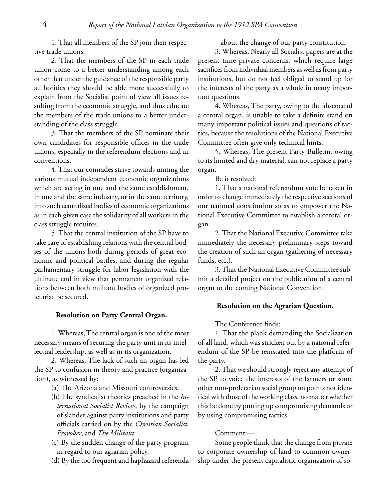1. That all members of the SP join their respective trade unions.

2. That the members of the SP in each trade union come to a better understanding among each other that under the guidance of the responsible party authorities they should be able more successfully to explain from the Socialist point of view all issues resulting from the economic struggle, and thus educate the members of the trade unions to a better understanding of the class struggle.

3. That the members of the SP nominate their own candidates for responsible offices in the trade unions, especially in the referendum elections and in conventions.

4. That our comrades strive towards uniting the various mutual independent economic organizations which are acting in one and the same establishment, in one and the same industry, or in the same territory, into such centralized bodies of economic organizations as in each given case the solidarity of all workers in the class struggle requires.

5. That the central institution of the SP have to take care of establishing relations with the central bodies of the unions both during periods of great economic and political battles, and during the regular parliamentary struggle for labor legislation with the ultimate end in view that permanent organized relations between both militant bodies of organized proletariat be secured.

#### **Resolution on Party Central Organ.**

1. Whereas, The central organ is one of the most necessary means of securing the party unit in its intellectual leadership, as well as in its organization.

2. Whereas, The lack of such an organ has led the SP to confusion in theory and practice (organization), as witnessed by:

(a) The Arizona and Missouri controversies.

- (b) The syndicalist theories preached in the *International Socialist Review*, by the campaign of slander against party institutions and party officials carried on by the *Christian Socialist*, *Provoker*, and *The Militant*.
- (c) By the sudden change of the party program in regard to our agrarian policy.
- (d) By the too frequent and haphazard referenda

about the change of our party constitution.

3. Whereas, Nearly all Socialist papers are at the present time private concerns, which require large sacrifices from individual members as well as from party institutions, but do not feel obliged to stand up for the interests of the party as a whole in many important questions.

4. Whereas, The party, owing to the absence of a central organ, is unable to take a definite stand on many important political issues and questions of tactics, because the resolutions of the National Executive Committee often give only technical hints.

5. Whereas, The present Party Bulletin, owing to its limited and dry material, can not replace a party organ.

Be it resolved:

1. That a national referendum vote be taken in order to change immediately the respective sections of our national constitution so as to empower the National Executive Committee to establish a central organ.

2. That the National Executive Committee take immediately the necessary preliminary steps toward the creation of such an organ (gathering of necessary funds, etc.).

3. That the National Executive Committee submit a detailed project on the publication of a central organ to the coming National Convention.

## **Resolution on the Agrarian Question.**

The Conference finds:

1. That the plank demanding the Socialization of all land, which was stricken out by a national referendum of the SP be reinstated into the platform of the party.

2. That we should strongly reject any attempt of the SP to voice the interests of the farmers or some other non-proletarian social group on points not identical with those of the working class, no matter whether this be done by putting up compromising demands or by using compromising tactics.

#### Comment:—

Some people think that the change from private to corporate ownership of land to common ownership under the present capitalistic organization of so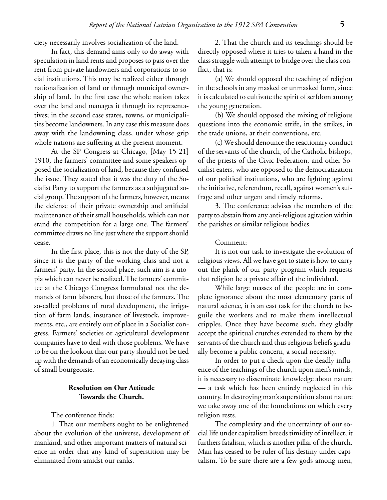ciety necessarily involves socialization of the land.

In fact, this demand aims only to do away with speculation in land rents and proposes to pass over the rent from private landowners and corporations to social institutions. This may be realized either through nationalization of land or through municipal ownership of land. In the first case the whole nation takes over the land and manages it through its representatives; in the second case states, towns, or municipalities become landowners. In any case this measure does away with the landowning class, under whose grip whole nations are suffering at the present moment.

At the SP Congress at Chicago, [May 15-21] 1910, the farmers' committee and some speakers opposed the socialization of land, because they confused the issue. They stated that it was the duty of the Socialist Party to support the farmers as a subjugated social group. The support of the farmers, however, means the defense of their private ownership and artificial maintenance of their small households, which can not stand the competition for a large one. The farmers' committee draws no line just where the support should cease.

In the first place, this is not the duty of the SP, since it is the party of the working class and not a farmers' party. In the second place, such aim is a utopia which can never be realized. The farmers' committee at the Chicago Congress formulated not the demands of farm laborers, but those of the farmers. The so-called problems of rural development, the irrigation of farm lands, insurance of livestock, improvements, etc., are entirely out of place in a Socialist congress. Farmers' societies or agricultural development companies have to deal with those problems. We have to be on the lookout that our party should not be tied up with the demands of an economically decaying class of small bourgeoisie.

## **Resolution on Our Attitude Towards the Church.**

The conference finds:

1. That our members ought to be enlightened about the evolution of the universe, development of mankind, and other important matters of natural science in order that any kind of superstition may be eliminated from amidst our ranks.

2. That the church and its teachings should be directly opposed where it tries to taken a hand in the class struggle with attempt to bridge over the class conflict, that is:

(a) We should opposed the teaching of religion in the schools in any masked or unmasked form, since it is calculated to cultivate the spirit of serfdom among the young generation.

(b) We should opposed the mixing of religious questions into the economic strife, in the strikes, in the trade unions, at their conventions, etc.

(c) We should denounce the reactionary conduct of the servants of the church, of the Catholic bishops, of the priests of the Civic Federation, and other Socialist eaters, who are opposed to the democratization of our political institutions, who are fighting against the initiative, referendum, recall, against women's suffrage and other urgent and timely reforms.

3. The conference advises the members of the party to abstain from any anti-religious agitation within the parishes or similar religious bodies.

#### Comment:—

It is not our task to investigate the evolution of religious views. All we have got to state is how to carry out the plank of our party program which requests that religion be a private affair of the individual.

While large masses of the people are in complete ignorance about the most elementary parts of natural science, it is an east task for the church to beguile the workers and to make them intellectual cripples. Once they have become such, they gladly accept the spiritual crutches extended to them by the servants of the church and thus religious beliefs gradually become a public concern, a social necessity.

In order to put a check upon the deadly influence of the teachings of the church upon men's minds, it is necessary to disseminate knowledge about nature — a task which has been entirely neglected in this country. In destroying man's superstition about nature we take away one of the foundations on which every religion rests.

The complexity and the uncertainty of our social life under capitalism breeds timidity of intellect, it furthers fatalism, which is another pillar of the church. Man has ceased to be ruler of his destiny under capitalism. To be sure there are a few gods among men,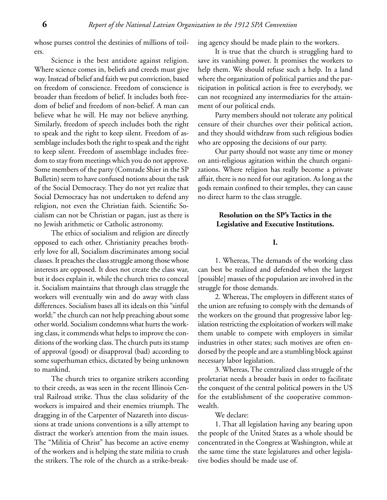whose purses control the destinies of millions of toilers.

Science is the best antidote against religion. Where science comes in, beliefs and creeds must give way. Instead of belief and faith we put conviction, based on freedom of conscience. Freedom of conscience is broader than freedom of belief. It includes both freedom of belief and freedom of non-belief. A man can believe what he will. He may not believe anything. Similarly, freedom of speech includes both the right to speak and the right to keep silent. Freedom of assemblage includes both the right to speak and the right to keep silent. Freedom of assemblage includes freedom to stay from meetings which you do not approve. Some members of the party (Comrade Shier in the SP Bulletin) seem to have confused notions about the task of the Social Democracy. They do not yet realize that Social Democracy has not undertaken to defend any religion, not even the Christian faith. Scientific Socialism can not be Christian or pagan, just as there is no Jewish arithmetic or Catholic astronomy.

The ethics of socialism and religion are directly opposed to each other. Christianity preaches brotherly love for all, Socialism discriminates among social classes. It preaches the class struggle among those whose interests are opposed. It does not create the class war, but it does explain it, while the church tries to conceal it. Socialism maintains that through class struggle the workers will eventually win and do away with class differences. Socialism bases all its ideals on this "sinful world;" the church can not help preaching about some other world. Socialism condemns what hurts the working class, it commends what helps to improve the conditions of the working class. The church puts its stamp of approval (good) or disapproval (bad) according to some superhuman ethics, dictated by being unknown to mankind.

The church tries to organize strikers according to their creeds, as was seen in the recent Illinois Central Railroad strike. Thus the class solidarity of the workers is impaired and their enemies triumph. The dragging in of the Carpenter of Nazareth into discussions at trade unions conventions is a silly attempt to distract the worker's attention from the main issues. The "Militia of Christ" has become an active enemy of the workers and is helping the state militia to crush the strikers. The role of the church as a strike-breaking agency should be made plain to the workers.

It is true that the church is struggling hard to save its vanishing power. It promises the workers to help them. We should refuse such a help. In a land where the organization of political parties and the participation in political action is free to everybody, we can not recognized any intermediaries for the attainment of our political ends.

Party members should not tolerate any political censure of their churches over their political action, and they should withdraw from such religious bodies who are opposing the decisions of our party.

Our party should not waste any time or money on anti-religious agitation within the church organizations. Where religion has really become a private affair, there is no need for our agitation. As long as the gods remain confined to their temples, they can cause no direct harm to the class struggle.

## **Resolution on the SP's Tactics in the Legislative and Executive Institutions.**

**I.**

1. Whereas, The demands of the working class can best be realized and defended when the largest [possible] masses of the population are involved in the struggle for those demands.

2. Whereas, The employers in different states of the union are refusing to comply with the demands of the workers on the ground that progressive labor legislation restricting the exploitation of workers will make them unable to compete with employers in similar industries in other states; such motives are often endorsed by the people and are a stumbling block against necessary labor legislation.

3. Whereas, The centralized class struggle of the proletariat needs a broader basis in order to facilitate the conquest of the central political powers in the US for the establishment of the cooperative commonwealth.

We declare:

1. That all legislation having any bearing upon the people of the United States as a whole should be concentrated in the Congress at Washington, while at the same time the state legislatures and other legislative bodies should be made use of.